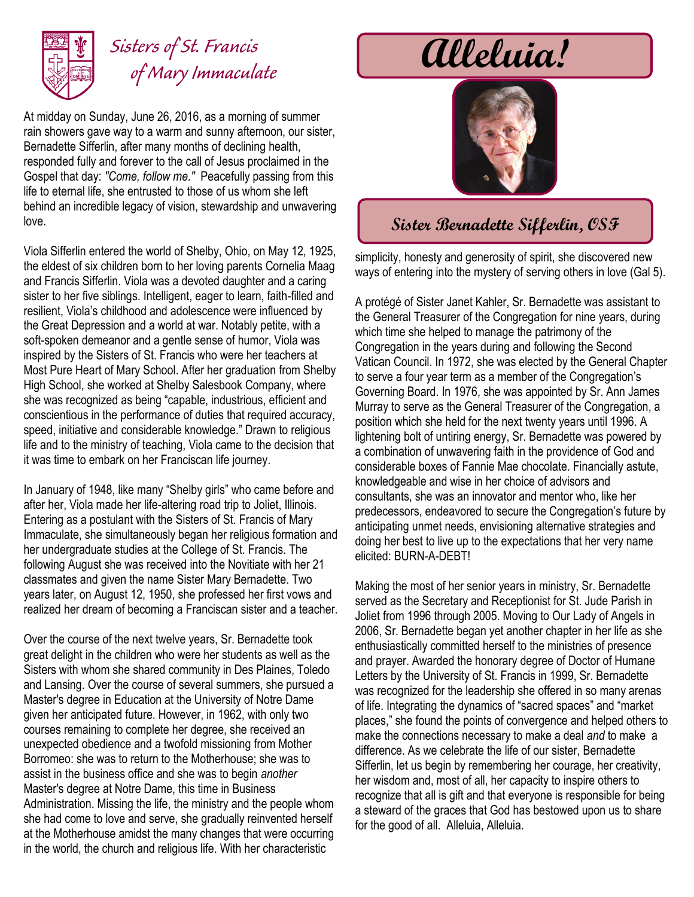

## *Sisters of St. Francis of Mary Immaculate*

At midday on Sunday, June 26, 2016, as a morning of summer rain showers gave way to a warm and sunny afternoon, our sister, Bernadette Sifferlin, after many months of declining health, responded fully and forever to the call of Jesus proclaimed in the Gospel that day: *"Come, follow me."* Peacefully passing from this life to eternal life, she entrusted to those of us whom she left behind an incredible legacy of vision, stewardship and unwavering love.

Viola Sifferlin entered the world of Shelby, Ohio, on May 12, 1925, the eldest of six children born to her loving parents Cornelia Maag and Francis Sifferlin. Viola was a devoted daughter and a caring sister to her five siblings. Intelligent, eager to learn, faith-filled and resilient, Viola's childhood and adolescence were influenced by the Great Depression and a world at war. Notably petite, with a soft-spoken demeanor and a gentle sense of humor, Viola was inspired by the Sisters of St. Francis who were her teachers at Most Pure Heart of Mary School. After her graduation from Shelby High School, she worked at Shelby Salesbook Company, where she was recognized as being "capable, industrious, efficient and conscientious in the performance of duties that required accuracy, speed, initiative and considerable knowledge." Drawn to religious life and to the ministry of teaching, Viola came to the decision that it was time to embark on her Franciscan life journey.

In January of 1948, like many "Shelby girls" who came before and after her, Viola made her life-altering road trip to Joliet, Illinois. Entering as a postulant with the Sisters of St. Francis of Mary Immaculate, she simultaneously began her religious formation and her undergraduate studies at the College of St. Francis. The following August she was received into the Novitiate with her 21 classmates and given the name Sister Mary Bernadette. Two years later, on August 12, 1950, she professed her first vows and realized her dream of becoming a Franciscan sister and a teacher.

Over the course of the next twelve years, Sr. Bernadette took great delight in the children who were her students as well as the Sisters with whom she shared community in Des Plaines, Toledo and Lansing. Over the course of several summers, she pursued a Master's degree in Education at the University of Notre Dame given her anticipated future. However, in 1962, with only two courses remaining to complete her degree, she received an unexpected obedience and a twofold missioning from Mother Borromeo: she was to return to the Motherhouse; she was to assist in the business office and she was to begin *another* Master's degree at Notre Dame, this time in Business Administration. Missing the life, the ministry and the people whom she had come to love and serve, she gradually reinvented herself at the Motherhouse amidst the many changes that were occurring in the world, the church and religious life. With her characteristic

# **Alleluia!**



#### **Sister Bernadette Sifferlin, OSF**

simplicity, honesty and generosity of spirit, she discovered new ways of entering into the mystery of serving others in love (Gal 5).

A protégé of Sister Janet Kahler, Sr. Bernadette was assistant to the General Treasurer of the Congregation for nine years, during which time she helped to manage the patrimony of the Congregation in the years during and following the Second Vatican Council. In 1972, she was elected by the General Chapter to serve a four year term as a member of the Congregation's Governing Board. In 1976, she was appointed by Sr. Ann James Murray to serve as the General Treasurer of the Congregation, a position which she held for the next twenty years until 1996. A lightening bolt of untiring energy, Sr. Bernadette was powered by a combination of unwavering faith in the providence of God and considerable boxes of Fannie Mae chocolate. Financially astute, knowledgeable and wise in her choice of advisors and consultants, she was an innovator and mentor who, like her predecessors, endeavored to secure the Congregation's future by anticipating unmet needs, envisioning alternative strategies and doing her best to live up to the expectations that her very name elicited: BURN-A-DEBT!

Making the most of her senior years in ministry, Sr. Bernadette served as the Secretary and Receptionist for St. Jude Parish in Joliet from 1996 through 2005. Moving to Our Lady of Angels in 2006, Sr. Bernadette began yet another chapter in her life as she enthusiastically committed herself to the ministries of presence and prayer. Awarded the honorary degree of Doctor of Humane Letters by the University of St. Francis in 1999, Sr. Bernadette was recognized for the leadership she offered in so many arenas of life. Integrating the dynamics of "sacred spaces" and "market places," she found the points of convergence and helped others to make the connections necessary to make a deal *and* to make a difference. As we celebrate the life of our sister, Bernadette Sifferlin, let us begin by remembering her courage, her creativity, her wisdom and, most of all, her capacity to inspire others to recognize that all is gift and that everyone is responsible for being a steward of the graces that God has bestowed upon us to share for the good of all. Alleluia, Alleluia.